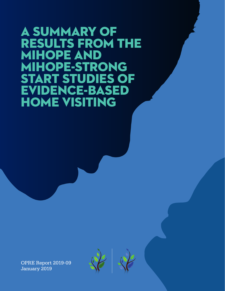# A SUMMARY OF RESULTS FROM THE MIHOPE AND MIHOPE-STRONG START STUDIES OF EVIDENCE-BASED HOME VISITING

OPRE Report 2019-09 January 2019



A summary of results from the MIHOPE-Strong Start studies of evidence-based home visiting in  $\mathcal{A}$ 

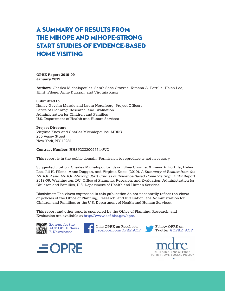# A summary of results from the MIHOPE and MIHOPE-Strong Start studies of evidence-based home visiting

**OPRE Report 2019-09 January 2019**

**Authors:** Charles Michalopoulos, Sarah Shea Crowne, Ximena A. Portilla, Helen Lee, Jill H. Filene, Anne Duggan, and Virginia Knox

#### **Submitted to:**

Nancy Geyelin Margie and Laura Nerenberg, Project Officers Office of Planning, Research, and Evaluation Administration for Children and Families U.S. Department of Health and Human Services

#### **Project Directors:**

Virginia Knox and Charles Michalopoulos, MDRC 200 Vesey Street New York, NY 10281

**Contract Number:** HHSP23320095644WC

This report is in the public domain. Permission to reproduce is not necessary.

Suggested citation: Charles Michalopoulos, Sarah Shea Crowne, Ximena A. Portilla, Helen Lee, Jill H. Filene, Anne Duggan, and Virginia Knox. (2019). *A Summary of Results from the MIHOPE and MIHOPE-Strong Start Studies of Evidence-Based Home Visiting*. OPRE Report 2019-09. Washington, DC: Office of Planning, Research, and Evaluation, Administration for Children and Families, U.S. Department of Health and Human Services.

Disclaimer: The views expressed in this publication do not necessarily reflect the views or policies of the Office of Planning, Research, and Evaluation, the Administration for Children and Families, or the U.S. Department of Health and Human Services.

This report and other reports sponsored by the Office of Planning, Research, and Evaluation are available at<http://www.acf.hhs.gov/opre>.











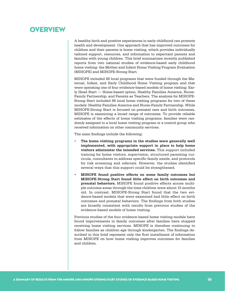### **OVERVIEW**

A healthy birth and positive experiences in early childhood can promote health and development. One approach that has improved outcomes for children and their parents is home visiting, which provides individually tailored support, resources, and information to expectant parents and families with young children. This brief summarizes recently published reports from two national studies of evidence-based early childhood home visiting: the Mother and Infant Home Visiting Program Evaluation (MIHOPE) and MIHOPE-Strong Start.

MIHOPE included 88 local programs that were funded through the Maternal, Infant, and Early Childhood Home Visiting program and that were operating one of four evidence-based models of home visiting: Early Head Start — Home-based option, Healthy Families America, Nurse-Family Partnership, and Parents as Teachers. The analysis for MIHOPE-Strong Start included 66 local home visiting programs for two of these models: Healthy Families America and Nurse-Family Partnership. While MIHOPE-Strong Start is focused on prenatal care and birth outcomes, MIHOPE is examining a broad range of outcomes. To provide reliable estimates of the effects of home visiting programs, families were randomly assigned to a local home visiting program or a control group who received information on other community services.

The main findings include the following:

- **• The home visiting programs in the studies were generally well implemented, with appropriate support in place to help home visitors administer the intended services.** This support included training for home visitors, supervision, structured parenting curricula, consultants to address specific family needs, and protocols for risk screening and referrals. However, the studies identified several ways that this support could be strengthened.
- **• MIHOPE found positive effects on some family outcomes but MIHOPE-Strong Start found little effect on birth outcomes and prenatal behaviors.** MIHOPE found positive effects across multiple outcome areas through the time children were about 15 months old. In contrast, MIHOPE-Strong Start found that the two evidence-based models that were examined had little effect on birth outcomes and prenatal behaviors. The findings from both studies are broadly consistent with results from previous studies of the evidence-based models of home visiting.

Previous studies of the four evidence-based home visiting models have found improvements in family outcomes after families have stopped receiving home visiting services. MIHOPE is therefore continuing to follow families as children age through kindergarten. The findings described in this brief represent only the first installment of information from MIHOPE on how home visiting improves outcomes for families and children.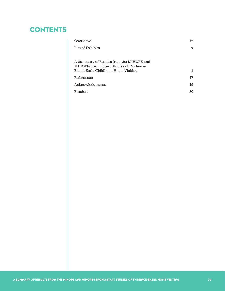# **CONTENTS**

| Overview                                                                                                                    | iii          |
|-----------------------------------------------------------------------------------------------------------------------------|--------------|
| List of Exhibits                                                                                                            | $\mathbf{v}$ |
|                                                                                                                             |              |
| A Summary of Results from the MIHOPE and<br>MIHOPE-Strong Start Studies of Evidence-<br>Based Early Childhood Home Visiting | 1            |
| References                                                                                                                  | 17           |
| Acknowledgments                                                                                                             | 19           |
| Funders                                                                                                                     | 20           |
|                                                                                                                             |              |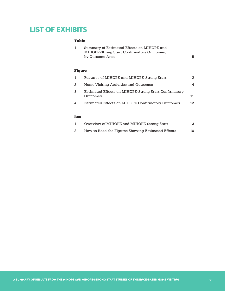# LIST OF EXHIBITS

#### Table

| ۰.<br>w<br>w | v |
|--------------|---|
|              |   |

| 1      | Summary of Estimated Effects on MIHOPE and<br>MIHOPE-Strong Start Confirmatory Outcomes,<br>by Outcome Area | 5   |
|--------|-------------------------------------------------------------------------------------------------------------|-----|
| Fiqure |                                                                                                             |     |
| 1      | Features of MIHOPE and MIHOPE-Strong Start                                                                  | 2   |
| 2      | Home Visiting Activities and Outcomes                                                                       | 4   |
| 3      | Estimated Effects on MIHOPE-Strong Start Confirmatory<br>Outcomes                                           | 11  |
| 4      | Estimated Effects on MIHOPE Confirmatory Outcomes                                                           | 12. |

#### Box

| Overview of MIHOPE and MIHOPE-Strong Start        |    |
|---------------------------------------------------|----|
| How to Read the Figures Showing Estimated Effects | 10 |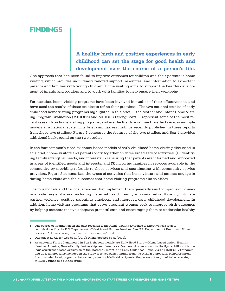## **FINDINGS**

### **A healthy birth and positive experiences in early childhood can set the stage for good health and development over the course of a person's life.**

One approach that has been found to improve outcomes for children and their parents is home visiting, which provides individually tailored support, resources, and information to expectant parents and families with young children. Home visiting aims to support the healthy development of infants and toddlers and to work with families to help ensure their well-being.

For decades, home visiting programs have been involved in studies of their effectiveness, and have used the results of those studies to refine their practices.<sup>1</sup> The two national studies of early childhood home visiting programs highlighted in this brief — the Mother and Infant Home Visiting Program Evaluation (MIHOPE) and MIHOPE-Strong Start — represent some of the most recent research on home visiting programs, and are the first to examine the effects across multiple models at a national scale. This brief summarizes findings recently published in three reports from these two studies.<sup>2</sup> Figure 1 compares the features of the two studies, and Box 1 provides additional background on the two studies.

In the four commonly used evidence-based models of early childhood home visiting discussed in this brief, $3$  home visitors and parents work together on three broad sets of activities: (1) identifying family strengths, needs, and interests; (2) ensuring that parents are informed and supported in areas of identified needs and interests; and (3) involving families in services available in the community by providing referrals to those services and coordinating with community service providers. Figure 2 summarizes the types of activities that home visitors and parents engage in during home visits and the outcomes that home visiting programs aim to affect.

The four models and the local agencies that implement them generally aim to improve outcomes in a wide range of areas, including maternal health, family economic self-sufficiency, intimate partner violence, positive parenting practices, and improved early childhood development. In addition, home visiting programs that serve pregnant women seek to improve birth outcomes by helping mothers receive adequate prenatal care and encouraging them to undertake healthy

<sup>1</sup> One source of information on the past research is the Home Visiting Evidence of Effectiveness review commissioned by the U.S. Department of Health and Human Services. See U.S. Department of Health and Human Services, "Home Visiting Evidence of Effectiveness" (n.d.).

<sup>2</sup> Duggan et al. (2018); Lee et al. (2019); Michalopoulos et al. (2019).

<sup>3</sup> As shown in Figure 2 and noted in Box 1, the four models are Early Head Start — Home-based option, Healthy Families America, Nurse-Family Partnership, and Parents as Teachers. Also as shown in the figure, MIHOPE is the legislatively mandated evaluation of the Maternal, Infant, and Early Childhood Home Visiting (MIECHV) program and all local programs included in the study received some funding from the MIECHV program. MIHOPE-Strong Start included local programs that served primarily Medicaid recipients; they were not required to be receiving MIECHV funds to be in the study.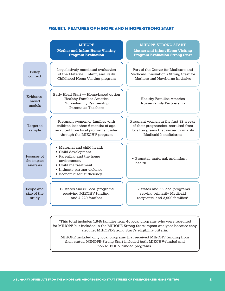#### Figure 1. Features of MIHOPE and MIHOPE-Strong Start

|                                      | <b>MIHOPE</b><br><b>Mother and Infant Home Visiting</b><br><b>Program Evaluation</b>                                                                                                | <b>MIHOPE-STRONG START</b><br><b>Mother and Infant Home Visiting</b><br><b>Program Evaluation-Strong Start</b>                                 |
|--------------------------------------|-------------------------------------------------------------------------------------------------------------------------------------------------------------------------------------|------------------------------------------------------------------------------------------------------------------------------------------------|
| Policy<br>context.                   | Legislatively mandated evaluation<br>of the Maternal, Infant, and Early<br>Childhood Home Visiting program                                                                          | Part of the Center for Medicare and<br>Medicaid Innovation's Strong Start for<br>Mothers and Newborns Initiative                               |
| Evidence-<br>based<br>models         | Early Head Start - Home-based option<br><b>Healthy Families America</b><br>Nurse-Family Partnership<br>Parents as Teachers                                                          | <b>Healthy Families America</b><br><b>Nurse-Family Partnership</b>                                                                             |
| Targeted<br>sample                   | Pregnant women or families with<br>children less than 6 months of age,<br>recruited from local programs funded<br>through the MIECHV program                                        | Pregnant women in the first 32 weeks<br>of their pregnancies, recruited from<br>local programs that served primarily<br>Medicaid beneficiaries |
| Focuses of<br>the impact<br>analysis | • Maternal and child health<br>• Child development<br>• Parenting and the home<br>environment<br>• Child maltreatment<br>• Intimate partner violence<br>• Economic self-sufficiency | • Prenatal, maternal, and infant<br>health                                                                                                     |
| Scope and<br>size of the<br>study    | 12 states and 88 local programs<br>receiving MIECHV funding,<br>and 4,229 families                                                                                                  | 17 states and 66 local programs<br>serving primarily Medicaid<br>recipients, and 2,900 families*                                               |

\*This total includes 1,845 families from 46 local programs who were recruited for MIHOPE but included in the MIHOPE-Strong Start impact analyses because they also met MIHOPE-Strong Start's eligibility criteria.

MIHOPE included only local programs that received MIECHV funding from their states. MIHOPE-Strong Start included both MIECHV-funded and non-MIECHV-funded programs.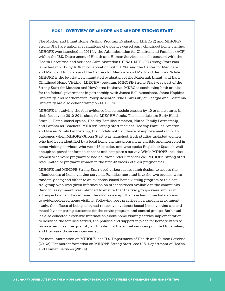#### Box 1. Overview of MIHOPE and MIHOPE-Strong Start

The Mother and Infant Home Visiting Program Evaluation (MIHOPE) and MIHOPE-Strong Start are national evaluations of evidence-based early childhood home visiting. MIHOPE was launched in 2011 by the Administration for Children and Families (ACF) within the U.S. Department of Health and Human Services, in collaboration with the Health Resources and Services Administration (HRSA). MIHOPE-Strong Start was launched in 2012 by ACF in collaboration with HRSA and the Center for Medicare and Medicaid Innovation of the Centers for Medicare and Medicaid Services. While MIHOPE is the legislatively mandated evaluation of the Maternal, Infant, and Early Childhood Home Visiting (MIECHV) program, MIHOPE-Strong Start was part of the Strong Start for Mothers and Newborns Initiative. MDRC is conducting both studies for the federal government in partnership with James Bell Associates, Johns Hopkins University, and Mathematica Policy Research. The University of Georgia and Columbia University are also collaborating on MIHOPE.

MIHOPE is studying the four evidence-based models chosen by 10 or more states in their fiscal year 2010-2011 plans for MIECHV funds. These models are Early Head Start — Home-based option, Healthy Families America, Nurse-Family Partnership, and Parents as Teachers. MIHOPE-Strong Start includes Healthy Families America and Nurse-Family Partnership, the models with evidence of improvements in birth outcomes when MIHOPE-Strong Start was launched. Both studies included women who had been identified by a local home visiting program as eligible and interested in home visiting services, who were 15 or older, and who spoke English or Spanish well enough to provide informed consent and complete a survey. While MIHOPE includes women who were pregnant or had children under 6 months old, MIHOPE-Strong Start was limited to pregnant women in the first 32 weeks of their pregnancies.

MIHOPE and MIHOPE-Strong Start used a rigorous research design to assess the effectiveness of home visiting services. Families recruited into the two studies were randomly assigned either to an evidence-based home visiting program or to a control group who was given information on other services available in the community. Random assignment was intended to ensure that the two groups were similar in all respects when they entered the studies except that one had immediate access to evidence-based home visiting. Following best practices in a random assignment study, the effects of being assigned to receive evidence-based home visiting are estimated by comparing outcomes for the entire program and control groups. Both studies also collected extensive information about home visiting service implementation to describe the families served, the policies and support in place for home visitors to provide services, the quantity and content of the actual services provided to families, and the ways those services varied.

For more information on MIHOPE, see U.S. Department of Health and Human Services (2017a). For more information on MIHOPE-Strong Start, see U.S. Department of Health and Human Services (2017b).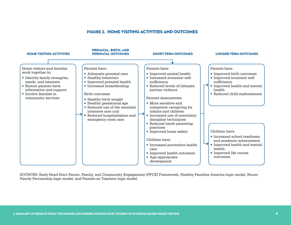#### Figure 2. Home Visiting Activities and Outcomes



SOURCES: Early Head Start Parent, Family, and Community Engagement (PFCE) Framework, Healthy Families America logic model, Nurse-Family Partnership logic model, and Parents as Teachers logic model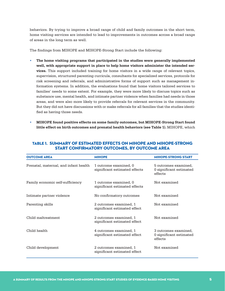behaviors. By trying to improve a broad range of child and family outcomes in the short term, home visiting services are intended to lead to improvements in outcomes across a broad range of areas in the long term as well.

The findings from MIHOPE and MIHOPE-Strong Start include the following:

- **• The home visiting programs that participated in the studies were generally implemented well, with appropriate support in place to help home visitors administer the intended services.** This support included training for home visitors in a wide range of relevant topics, supervision, structured parenting curricula, consultants for specialized services, protocols for risk screening and referrals, and administrative forms of support such as management information systems. In addition, the evaluations found that home visitors tailored services to families' needs to some extent. For example, they were more likely to discuss topics such as substance use, mental health, and intimate partner violence when families had needs in those areas, and were also more likely to provide referrals for relevant services in the community. But they did not have discussions with or make referrals for all families that the studies identified as having those needs.
- **• MIHOPE found positive effects on some family outcomes, but MIHOPE-Strong Start found little effect on birth outcomes and prenatal health behaviors (see Table 1).** MIHOPE, which

| <b>OUTCOME AREA</b>                   | <b>MIHOPE</b>                                          | <b>MIHOPE-STRONG START</b>                                 |
|---------------------------------------|--------------------------------------------------------|------------------------------------------------------------|
| Prenatal, maternal, and infant health | 1 outcome examined, 0<br>significant estimated effects | 5 outcomes examined,<br>0 significant estimated<br>effects |
| Family economic self-sufficiency      | 1 outcome examined, 0<br>significant estimated effects | Not examined                                               |
| Intimate partner violence             | No confirmatory outcomes                               | Not examined                                               |
| Parenting skills                      | 2 outcomes examined, 1<br>significant estimated effect | Not examined                                               |
| Child maltreatment                    | 2 outcomes examined, 1<br>significant estimated effect | Not examined                                               |
| Child health                          | 4 outcomes examined, 1<br>significant estimated effect | 3 outcomes examined.<br>0 significant estimated<br>effects |
| Child development                     | 2 outcomes examined, 1<br>significant estimated effect | Not examined                                               |

#### Table 1. Summary of Estimated Effects on MIHOPE and MIHOPE-Strong Start Confirmatory Outcomes, by Outcome Area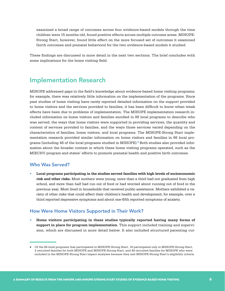examined a broad range of outcomes across four evidence-based models through the time children were 15 months old, found positive effects across multiple outcome areas. MIHOPE-Strong Start, however, found little effect on the more focused set of outcomes it examined (birth outcomes and prenatal behaviors) for the two evidence-based models it studied.

These findings are discussed in more detail in the next two sections. The brief concludes with some implications for the home visiting field.

### Implementation Research

MIHOPE addressed gaps in the field's knowledge about evidence-based home visiting programs; for example, there was relatively little information on the implementation of the programs. Since past studies of home visiting have rarely reported detailed information on the support provided to home visitors and the services provided to families, it has been difficult to know when weak effects have been due to problems of implementation. The MIHOPE implementation research included information on home visitors and families enrolled in 88 local programs to describe who was served, the ways that home visitors were supported in providing services, the quantity and content of services provided to families, and the ways those services varied depending on the characteristics of families, home visitors, and local programs. The MIHOPE-Strong Start implementation research provided similar information on home visitors and families in 66 local programs (including 48 of the local programs studied in MIHOPE).<sup>4</sup> Both studies also provided information about the broader context in which these home visiting programs operated, such as the MIECHV program and states' efforts to promote prenatal health and positive birth outcomes.

#### Who Was Served?

**• Local programs participating in the studies served families with high levels of socioeconomic risk and other risks.** Most mothers were young, more than a third had not graduated from high school, and more than half had run out of food or had worried about running out of food in the previous year. Most lived in households that received public assistance. Mothers exhibited a variety of other risks that could affect their children's health and development; for example, over a third reported depressive symptoms and about one-fifth reported symptoms of anxiety.

#### How Were Home Visitors Supported in Their Work?

**• Home visitors participating in these studies typically reported having many forms of support in place for program implementation.** This support included training and supervision, which are discussed in more detail below. It also included structured parenting cur-

<sup>4</sup> Of the 66 local programs that participated in MIHOPE-Strong Start, 18 participated only in MIHOPE-Strong Start, 2 recruited families for both MIHOPE and MIHOPE-Strong Start, and 46 recruited families for MIHOPE who were included in the MIHOPE-Strong Start impact analyses because they met MIHOPE-Strong Start's eligibility criteria.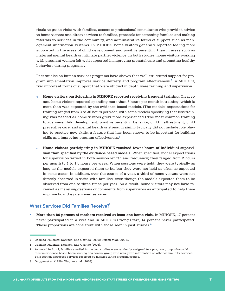ricula to guide visits with families, access to professional consultants who provided advice to home visitors and direct services to families, protocols for screening families and making referrals to services in the community, and administrative forms of support such as management information systems. In MIHOPE, home visitors generally reported feeling more supported in the areas of child development and positive parenting than in areas such as maternal mental health or intimate partner violence. In both studies, home visitors working with pregnant women felt well supported in improving prenatal care and promoting healthy behaviors during pregnancy.

Past studies on human services programs have shown that well-structured support for program implementation improves service delivery and program effectiveness.<sup>5</sup> In MIHOPE, two important forms of support that were studied in depth were training and supervision.

- o **Home visitors participating in MIHOPE reported receiving frequent training.** On average, home visitors reported spending more than 8 hours per month in training, which is more than was expected by the evidence-based models. (The models' expectations for training ranged from 3 to 36 hours per year, with some models specifying that less training was needed as home visitors grew more experienced.) The most common training topics were child development, positive parenting behavior, child maltreatment, child preventive care, and mental health or stress. Training typically did not include role playing to practice new skills, a feature that has been shown to be important for building skills and improving program effectiveness.<sup>6</sup>
- o **Home visitors participating in MIHOPE received fewer hours of individual supervision than specified by the evidence-based models.** When specified, model expectations for supervision varied in both session length and frequency; they ranged from 2 hours per month to 1 to 1.5 hours per week. When sessions were held, they were typically as long as the models expected them to be, but they were not held as often as expected in some cases. In addition, over the course of a year, a third of home visitors were not directly observed in visits with families, even though the models expected them to be observed from one to three times per year. As a result, home visitors may not have received as many suggestions or comments from supervisors as anticipated to help them improve how they delivered services.

#### What Services Did Families Receive?

**• More than 80 percent of mothers received at least one home visit.** In MIHOPE, 17 percent never participated in a visit and in MIHOPE-Strong Start, 14 percent never participated. These proportions are consistent with those seen in past studies.<sup>8</sup>

8 Duggan et al. (1999); Wagner et al. (2003).

<sup>5</sup> Casillas, Fauchier, Derkash, and Garrido (2016); Fixsen et al. (2005).

<sup>6</sup> Casillas, Fauchier, Derkash, and Garrido (2016).

<sup>7</sup> As noted in Box 1, families enrolled in the two studies were randomly assigned to a program group who could receive evidence-based home visiting or a control group who was given information on other community services. This section discusses services received by families in the program groups.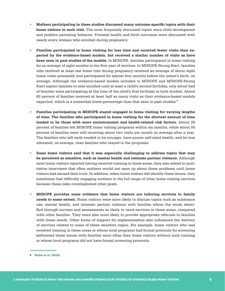- **• Mothers participating in these studies discussed many outcome-specific topics with their home visitors in each visit.** The most frequently discussed topics were child development and positive parenting behavior. Prenatal health and birth outcomes were discussed with nearly every woman who enrolled during pregnancy.
- **• Families participated in home visiting for less time and received fewer visits than expected by the evidence-based models, but received a similar number of visits as have been seen in past studies of the models.** In MIHOPE, families participated in home visiting for an average of eight months in the first year of services. In MIHOPE-Strong Start, families who received at least one home visit during pregnancy received an average of about eight home visits prenatally and participated for almost four months before the infant's birth, on average. Although the evidence-based models included in MIHOPE and MIHOPE-Strong Start expect families to stay enrolled until at least a child's second birthday, only about half of families were participating at the time of the child's first birthday in both studies. About 60 percent of families received at least half as many visits as their evidence-based models expected, which is a somewhat lower percentage than that seen in past studies.<sup>9</sup>
- **• Families participating in MIHOPE stayed engaged in home visiting for varying lengths of time. The families who participated in home visiting for the shortest amount of time tended to be those with more socioeconomic and health-related risk factors.** About 28 percent of families left MIHOPE home visiting programs within six months, while about 55 percent of families were still receiving about two visits per month on average after a year. The families who left early tended to be younger, have poorer self-rated health, and be less educated, on average, than families who stayed in the programs.
- **• Some home visitors said that it was especially challenging to address topics that may be perceived as sensitive, such as mental health and intimate partner violence.** Although most home visitors reported having received training in these areas, they also stated in qualitative interviews that often mothers would not open up about these problems until home visitors had earned their trust. In addition, when home visitors did identify these issues, they sometimes had difficulty engaging mothers in the full range of other home visiting services because these risks overshadowed other goals.
- **• MIHOPE provides some evidence that home visitors are tailoring services to family needs to some extent.** Home visitors were more likely to discuss topics such as substance use, mental health, and intimate partner violence with families whom the study identified through surveys and assessments as likely to need services in these areas, compared with other families. They were also more likely to provide appropriate referrals to families with these needs. Other forms of support for implementation also influenced the delivery of services related to some of these sensitive topics. For example, home visitors who had received training in these areas or whose local programs had formal protocols for screening addressed these issues with families more often than home visitors without such training or whose local programs did not have formal screening protocols.

<sup>9</sup> Boller et al. (2014).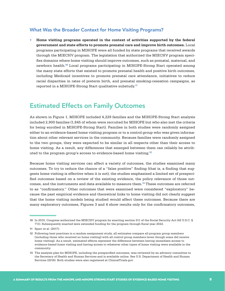#### What Was the Broader Context for Home Visiting Programs?

**• Home visiting programs operated in the context of activities supported by the federal government and state efforts to promote prenatal care and improve birth outcomes.** Local programs participating in MIHOPE were all funded by state programs that received awards through the MIECHV program. The legislation that authorized the MIECHV program specifies domains where home visiting should improve outcomes, such as prenatal, maternal, and newborn health.<sup>10</sup> Local programs participating in MIHOPE-Strong Start operated among the many state efforts that existed to promote prenatal health and positive birth outcomes, including Medicaid incentives to promote prenatal care attendance, initiatives to reduce racial disparities in rates of preterm birth, and prenatal smoking-cessation campaigns, as reported in a MIHOPE-Strong Start qualitative substudy.<sup>11</sup>

### Estimated Effects on Family Outcomes

As shown in Figure 1, MIHOPE included 4,229 families and the MIHOPE-Strong Start analysis included 2,900 families (1,845 of whom were recruited for MIHOPE but who also met the criteria for being enrolled in MIHOPE-Strong Start). Families in both studies were randomly assigned either to an evidence-based home visiting program or to a control group who was given information about other relevant services in the community. Because families were randomly assigned to the two groups, they were expected to be similar in all respects other than their access to home visiting. As a result, any differences that emerged between them can reliably be attributed to the program group's access to evidence-based home visiting.<sup>12</sup>

Because home visiting services can affect a variety of outcomes, the studies examined many outcomes. To try to reduce the chance of a "false positive" finding (that is, a finding that suggests home visiting is effective when it is not), the studies emphasized a limited set of prespecified outcomes based on a review of the existing evidence, the policy relevance of those outcomes, and the instruments and data available to measure them.<sup>13</sup> These outcomes are referred to as "confirmatory." Other outcomes that were examined were considered "exploratory" because the past empirical evidence and theoretical links to home visiting did not clearly suggest that the home visiting models being studied would affect these outcomes. Because there are many exploratory outcomes, Figures 3 and 4 show results only for the confirmatory outcomes,

<sup>10</sup> In 2010, Congress authorized the MIECHV program by enacting section 511 of the Social Security Act (42 U.S.C. § 711). Subsequently enacted laws extended funding for the program through fiscal year 2022.

<sup>11</sup> Sparr et al. (2017).

<sup>12</sup> Following best practices in a random assignment study, all estimates compare all program group members (including those who received no home visiting) with all control group members (even though some did receive home visiting). As a result, estimated effects represent the difference between having immediate access to evidence-based home visiting and having access to whatever other types of home visiting were available in the community.

<sup>13</sup> The analysis plan for MIHOPE, including the prespecified outcomes, was reviewed by an advisory committee to the Secretary of Health and Human Services and is available online. See U.S. Department of Health and Human Services (2016). Both studies were also registered at ClinicalTrials.gov.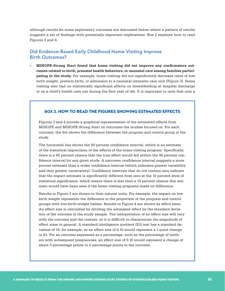although results for some exploratory outcomes are discussed below where a pattern of results suggests a set of findings with potentially important implications. Box 2 explains how to read Figures 3 and 4.

#### Did Evidence-Based Early Childhood Home Visiting Improve Birth Outcomes?

**• MIHOPE-Strong Start found that home visiting did not improve any confirmatory outcomes related to birth, prenatal health behaviors, or neonatal care among families participating in the study.** For example, home visiting did not significantly decrease rates of low birth weight, preterm birth, or admission to a neonatal intensive care unit (Figure 3). Home visiting also had no statistically significant effects on breastfeeding at hospital discharge or on a child's health care use during the first year of life. It is important to note that only a

#### Box 2. How to Read the Figures Showing Estimated Effects

Figures 3 and 4 provide a graphical representation of the estimated effects from MIHOPE and MIHOPE-Strong Start on outcomes the studies focused on. For each outcome, the dot shows the difference between the program and control group in the study.

The horizontal line shows the 90 percent confidence interval, which is an estimate of the statistical imprecision of the effects of the home visiting program. Specifically, there is a 90 percent chance that the true effect would fall within the 90 percent confidence interval for any given study. A narrower confidence interval suggests a more precise estimate than a wider confidence interval (which indicates greater variability and thus greater uncertainty). Confidence intervals that do not contain zero indicate that the impact estimate is significantly different from zero at the 10 percent level of statistical significance, which means there is less than a 10 percent chance this estimate would have been seen if the home visiting programs made no difference.

Results in Figure 3 are shown in their natural units. For example, the impact on low birth weight represents the difference in the proportion of the program and control groups with low-birth-weight babies. Results in Figure 4 are shown as effect sizes. An effect size is calculated by dividing the estimated effect by the standard deviation of the outcome in the study sample. The interpretation of an effect size will vary with the outcome and the context, so it is difficult to characterize the magnitude of effect sizes in general. A standard intelligence quotient (IQ) test has a standard deviation of 10, for example, so an effect size of 0.10 would represent a 1-point change in IQ. For an outcome expressed as a percentage, such as the percentage of mothers with subsequent pregnancies, an effect size of 0.10 would represent a change of about 3 percentage points to 5 percentage points in the outcome.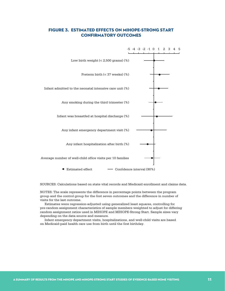#### Figure 3. Estimated Effects on MIHOPE-Strong Start Confirmatory Outcomes



SOURCES: Calculations based on state vital records and Medicaid enrollment and claims data.

NOTES: The scale represents the difference in percentage points between the program group and the control group for the first seven outcomes and the difference in number of visits for the last outcome.

 Estimates were regression-adjusted using generalized least squares, controlling for pre-random assignment characteristics of sample members weighted to adjust for differing random assignment ratios used in MIHOPE and MIHOPE-Strong Start. Sample sizes vary depending on the data source and measure.

 Infant emergency department visits, hospitalizations, and well-child visits are based on Medicaid-paid health care use from birth until the first birthday.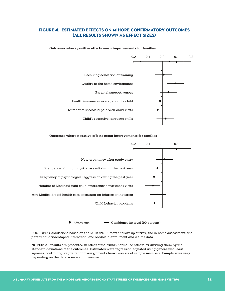#### Figure 4. Estimated Effects on MIHOPE Confirmatory Outcomes (All Results Shown as Effect Sizes)

-0.2 -0.1 0.0 0.1 0.2 Receiving education or training Quality of the home environment Parental supportiveness Health insurance coverage for the child Number of Medicaid-paid well-child visits Child's receptive language skills

**Outcomes where positive effects mean improvements for families**

#### **Outcomes where negative effects mean improvements for families**



● Effect size – Confidence interval (90 percent)

SOURCES: Calculations based on the MIHOPE 15-month follow-up survey, the in-home assessment, the parent-child videotaped interaction, and Medicaid enrollment and claims data.

NOTES: All results are presented in effect sizes, which normalize effects by dividing them by the standard deviations of the outcomes. Estimates were regression-adjusted using generalized least squares, controlling for pre-random assignment characteristics of sample members. Sample sizes vary depending on the data source and measure.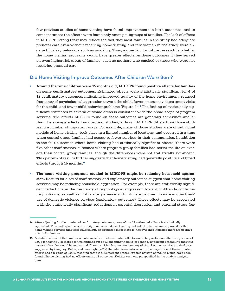few previous studies of home visiting have found improvements in birth outcomes, and in some instances the effects were found only among subgroups of families. The lack of effects in MIHOPE-Strong Start may reflect the fact that most families in the study had adequate prenatal care even without receiving home visiting and few women in the study were engaged in risky behaviors such as smoking. Thus, a question for future research is whether the home visiting programs would have greater effects on these outcomes if they served an even higher-risk group of families, such as mothers who smoked or those who were not receiving prenatal care.

#### Did Home Visiting Improve Outcomes After Children Were Born?

- **• Around the time children were 15 months old, MIHOPE found positive effects for families on some confirmatory outcomes.** Estimated effects were statistically significant for 4 of 12 confirmatory outcomes, indicating improved quality of the home environment, reduced frequency of psychological aggression toward the child, fewer emergency department visits for the child, and fewer child behavior problems (Figure  $4$ ).<sup>14</sup> The finding of statistically significant estimates in several outcome areas is consistent with the broad scope of program services. The effects MIHOPE found on these outcomes are generally somewhat smaller than the average effects found in past studies, although MIHOPE differs from those studies in a number of important ways. For example, many of those studies were of individual models of home visiting, took place in a limited number of locations, and occurred in a time when control group families had access to fewer services in their communities. In addition to the four outcomes where home visiting had statistically significant effects, there were five other confirmatory outcomes where program group families had better results on average than control group families, though the differences were not statistically significant. This pattern of results further suggests that home visiting had generally positive and broad effects through 15 months.<sup>15</sup>
- **• The home visiting programs studied in MIHOPE might be reducing household aggression.** Results for a set of confirmatory and exploratory outcomes suggest that home visiting services may be reducing household aggression. For example, there are statistically significant reductions in the frequency of psychological aggression toward children (a confirmatory outcome) as well as mothers' experience with intimate partner violence and mothers' use of domestic violence services (exploratory outcomes). These effects may be associated with the statistically significant reductions in parental depression and parental stress (ex-

<sup>14</sup> After adjusting for the number of confirmatory outcomes, none of the 12 estimated effects is statistically significant. This finding reduces the study team's confidence that any individual outcome was improved by the home visiting services that were studied but, as discussed in footnote 15, the evidence indicates there are positive effects for families.

<sup>15</sup> A statistical test of the number of outcomes for which estimated effects would be positive resulted in a p-value of 0.096 for having 9 or more positive findings out of 12, meaning there is less than a 10 percent probability that this pattern of results would have resulted if home visiting had no effect on any of the 12 outcomes. A statistical test suggested by Caughey, Dafoe, and Seawright (2017) that also takes into account the magnitude of the estimated effects has a p-value of 0.025, meaning there is a 2.5 percent probability this pattern of results would have been found if home visiting had no effects on the 12 outcomes. Neither test was prespecified in the study's analysis plan.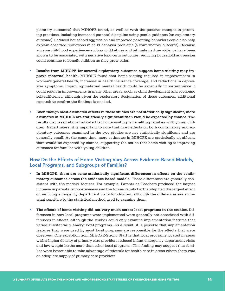ploratory outcomes) that MIHOPE found, as well as with the positive changes in parenting practices, including increased parental discipline using gentle guidance (an exploratory outcome). Reduced household aggression and improved parenting behaviors could also help explain observed reductions in child behavior problems (a confirmatory outcome). Because adverse childhood experiences such as child abuse and intimate partner violence have been shown to be associated with negative long-term outcomes, reducing household aggression could continue to benefit children as they grow older.

- **• Results from MIHOPE for several exploratory outcomes suggest home visiting may improve maternal health.** MIHOPE found that home visiting resulted in improvements in women's general health, increases in health insurance coverage, and reductions in depressive symptoms. Improving maternal mental health could be especially important since it could result in improvements in many other areas, such as child development and economic self-sufficiency, although given the exploratory designation of these outcomes, additional research to confirm the findings is needed.
- **• Even though most estimated effects in these studies are not statistically significant, more estimates in MIHOPE are statistically significant than would be expected by chance.** The results discussed above indicate that home visiting is benefiting families with young children. Nevertheless, it is important to note that most effects on both confirmatory and exploratory outcomes examined in the two studies are not statistically significant and are generally small. At the same time, more estimates in MIHOPE are statistically significant than would be expected by chance, supporting the notion that home visiting is improving outcomes for families with young children.

#### How Do the Effects of Home Visiting Vary Across Evidence-Based Models, Local Programs, and Subgroups of Families?

- **• In MIHOPE, there are some statistically significant differences in effects on the confirmatory outcomes across the evidence-based models.** These differences are generally consistent with the models' focuses. For example, Parents as Teachers produced the largest increase in parental supportiveness and the Nurse-Family Partnership had the largest effect on reducing emergency department visits for children, although the differences are somewhat sensitive to the statistical method used to examine them.
- **• The effects of home visiting did not vary much across local programs in the studies.** Differences in how local programs were implemented were generally not associated with differences in effects, although the studies could only examine implementation features that varied substantially among local programs. As a result, it is possible that implementation features that were used by most local programs are responsible for the effects that were observed. One exception from MIHOPE-Strong Start is that local programs located in areas with a higher density of primary care providers reduced infant emergency department visits and low-weight births more than other local programs. This finding may suggest that families were better able to take advantage of referrals for health care in areas where there was an adequate supply of primary care providers.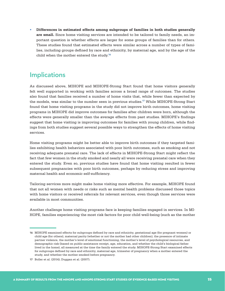**• Differences in estimated effects among subgroups of families in both studies generally are small.** Since home visiting services are intended to be tailored to family needs, an important question is whether effects are larger for some groups of families than for others. These studies found that estimated effects were similar across a number of types of families, including groups defined by race and ethnicity, by maternal age, and by the age of the child when the mother entered the study.<sup>16</sup>

### **Implications**

As discussed above, MIHOPE and MIHOPE-Strong Start found that home visitors generally felt well supported in working with families across a broad range of outcomes. The studies also found that families received a number of home visits that, while fewer than expected by the models, was similar to the number seen in previous studies.<sup>17</sup> While MIHOPE-Strong Start found that home visiting programs in the study did not improve birth outcomes, home visiting programs in MIHOPE did improve outcomes for families after children were born, although the effects were generally smaller than the average effects from past studies. MIHOPE's findings suggest that home visiting is improving outcomes for families with young children, while findings from both studies suggest several possible ways to strengthen the effects of home visiting services.

Home visiting programs might be better able to improve birth outcomes if they targeted families exhibiting health behaviors associated with poor birth outcomes, such as smoking and not receiving adequate prenatal care. The lack of effects in MIHOPE-Strong Start might reflect the fact that few women in the study smoked and nearly all were receiving prenatal care when they entered the study. Even so, previous studies have found that home visiting resulted in fewer subsequent pregnancies with poor birth outcomes, perhaps by reducing stress and improving maternal health and economic self-sufficiency.

Tailoring services more might make home visiting more effective. For example, MIHOPE found that not all women with needs or risks such as mental health problems discussed those topics with home visitors or received referrals for relevant services, even though those services were available in most communities.

Another challenge home visiting programs face is keeping families engaged in services. In MI-HOPE, families experiencing the most risk factors for poor child well-being (such as the mother

<sup>16</sup> MIHOPE examined effects for subgroups defined by race and ethnicity, gestational age (for pregnant women) or child age (for others), maternal parity (whether or not the mother had other children), the presence of intimate partner violence, the mother's level of emotional functioning, the mother's level of psychological resources, and demographic risk (based on public assistance receipt, age, education, and whether the child's biological father lived in the home), all measured at the time the family entered the study. MIHOPE-Strong Start examined effects for subgroups defined by race and ethnicity, maternal age, trimester of pregnancy when a mother entered the study, and whether the mother smoked before pregnancy.

<sup>17</sup> Boller et al. (2014); Duggan et al. (2007).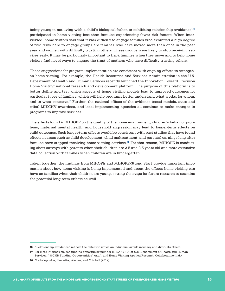being younger, not living with a child's biological father, or exhibiting relationship avoidance)<sup>18</sup> participated in home visiting less than families experiencing fewer risk factors. When interviewed, home visitors said that it was difficult to engage families who exhibited a high degree of risk. Two hard-to-engage groups are families who have moved more than once in the past year and women with difficulty trusting others. These groups were likely to stop receiving services early. It may be particularly important to track families when they move and to help home visitors find novel ways to engage the trust of mothers who have difficulty trusting others.

These suggestions for program implementation are consistent with ongoing efforts to strengthen home visiting. For example, the Health Resources and Services Administration in the U.S. Department of Health and Human Services recently launched the Innovation Toward Precision Home Visiting national research and development platform. The purpose of this platform is to better define and test which aspects of home visiting models lead to improved outcomes for particular types of families, which will help programs better understand what works, for whom, and in what contexts.<sup>19</sup> Further, the national offices of the evidence-based models, state and tribal MIECHV awardees, and local implementing agencies all continue to make changes in programs to improve services.

The effects found in MIHOPE on the quality of the home environment, children's behavior problems, maternal mental health, and household aggression may lead to longer-term effects on child outcomes. Such longer-term effects would be consistent with past studies that have found effects in areas such as child development, child maltreatment, and parental earnings long after families have stopped receiving home visiting services.<sup>20</sup> For that reason, MIHOPE is conducting short surveys with parents when their children are 2.5 and 3.5 years old and more extensive data collection with families when children are in kindergarten.

Taken together, the findings from MIHOPE and MIHOPE-Strong Start provide important information about how home visiting is being implemented and about the effects home visiting can have on families when their children are young, setting the stage for future research to examine the potential long-term effects as well.

<sup>18</sup> "Relationship avoidance" reflects the extent to which an individual avoids intimacy and distrusts others.

<sup>19</sup> For more information, see funding opportunity number HRSA-17-101 at U.S. Department of Health and Human Services, "MCHB Funding Opportunities" (n.d.), and Home Visiting Applied Research Collaborative (n.d.).

<sup>20</sup> Michalopoulos, Faucetta, Warren, and Mitchell (2017).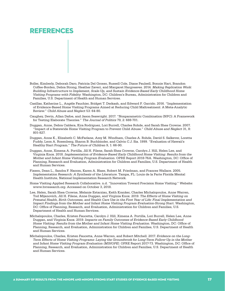### References

- Boller, Kimberly, Deborah Daro, Patricia Del Grosso, Russell Cole, Diane Paulsell, Bonnie Hart, Brandon Coffee-Borden, Debra Strong, Heather Zaveri, and Margaret Hargreaves. 2014. *Making Replication Work: Building Infrastructure to Implement, Scale-Up, and Sustain Evidence-Based Early Childhood Home Visiting Programs with Fidelity*. Washington, DC: Children's Bureau, Administration for Children and Families, U.S. Department of Health and Human Services.
- Casillas, Katherine L., Angèle Fauchier, Bridget T. Derkash, and Edward F. Garrido. 2016. "Implementation of Evidence-Based Home Visiting Programs Aimed at Reducing Child Maltreatment: A Meta-Analytic Review." *Child Abuse and Neglect* 53: 64-80.
- Caughey, Devin, Allan Dafoe, and Jason Seawright. 2017. "Nonparametric Combination (NPC): A Framework for Testing Elaborate Theories." *The Journal of Politics* 79, 2: 688-701.
- Duggan, Anne, Debra Caldera, Kira Rodriguez, Lori Burrell, Charles Rohde, and Sarah Shea Crowne. 2007. "Impact of a Statewide Home Visiting Program to Prevent Child Abuse." *Child Abuse and Neglect* 31, 8: 801-827.
- Duggan, Anne K., Elizabeth C. McFarlane, Amy M. Windham, Charles A. Rohde, David S. Salkever, Loretta Fuddy, Leon A. Rosenberg, Sharon B. Buchbinder, and Calvin C.J. Sia. 1999. "Evaluation of Hawaii's Healthy Start Program." *The Future of Children* 9, 1: 66-90.
- Duggan, Anne, Ximena A. Portilla, Jill H. Filene, Sarah Shea Crowne, Carolyn J. Hill, Helen Lee, and Virginia Knox. 2018. *Implementation of Evidence-Based Early Childhood Home Visiting: Results from the Mother and Infant Home Visiting Program Evaluation*. OPRE Report 2018-76A. Washington, DC: Office of Planning, Research and Evaluation, Administration for Children and Families, U.S. Department of Health and Human Services.
- Fixsen, Dean L., Sandra F. Naoom, Karen A. Blase, Robert M. Friedman, and Frances Wallace. 2005. *Implementation Research: A Synthesis of the Literature*. Tampa, FL: Louis de la Parte Florida Mental Health Institute, National Implementation Research Network.
- Home Visiting Applied Research Collaborative. n.d. "Innovation Toward Precision Home Visiting." Website: www.hvresearch.org. Accessed on October 3, 2018.
- Lee, Helen, Sarah Shea Crowne, Melanie Estarziau, Keith Kranker, Charles Michalopoulos, Anne Warren, Tod Mijanovich, Jill H. Filene, Anne Duggan, and Virginia Knox. 2019. *The Effects of Home Visiting on Prenatal Health, Birth Outcomes, and Health Care Use in the First Year of Life: Final Implementation and Impact Findings from the Mother and Infant Home Visiting Program Evaluation-Strong Start*. Washington, DC: Office of Planning, Research, and Evaluation, Administration for Children and Families, U.S. Department of Health and Human Services.
- Michalopoulos, Charles, Kristen Faucetta, Carolyn J. Hill, Ximena A. Portilla, Lori Burrell, Helen Lee, Anne Duggan, and Virginia Knox. 2019. *Impacts on Family Outcomes of Evidence-Based Early Childhood Home Visiting: Results from the Mother and Infant Home Visiting Evaluation*. Washington, DC: Office of Planning, Research, and Evaluation, Administration for Children and Families, U.S. Department of Health and Human Services.
- Michalopoulos, Charles, Kristen Faucetta, Anne Warren, and Robert Mitchell. 2017. *Evidence on the Long-Term Effects of Home Visiting Programs: Laying the Groundwork for Long-Term Follow-Up in the Mother and Infant Home Visiting Program Evaluation (MIHOPE)*. OPRE Report 2017-73. Washington, DC: Office of Planning, Research, and Evaluation, Administration for Children and Families, U.S. Department of Health and Human Services.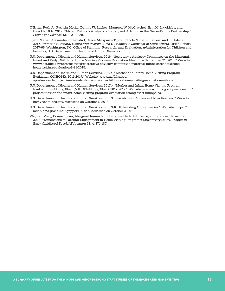- O'Brien, Ruth A., Patricia Moritz, Dennis W. Luckey, Maureen W. McClatchey, Erin M. Ingoldsby, and David L. Olds. 2012. "Mixed Methods Analysis of Participant Attrition in the Nurse-Family Partnership." *Prevention Science* 13, 3: 219-228.
- Sparr, Mariel, Alexandra Joraanstad, Grace Atukpawu-Tipton, Nicole Miller, Julie Leis, and Jill Filene. 2017. *Promoting Prenatal Health and Positive Birth Outcomes: A Snapshot of State Efforts*. OPRE Report 2017-65. Washington, DC: Office of Planning, Research, and Evaluation, Administration for Children and Families, U.S. Department of Health and Human Services.
- U.S. Department of Health and Human Services. 2016. "Secretary's Advisory Committee on the Maternal, Infant and Early Childhood Home Visiting Program Evaluation Meeting – September 21, 2015." Website: www.acf.hhs.gov/opre/resource/secretarys-advisory-committee-maternal-infant-early-childhoodhomevisiting-evaluation-9-21-2015.
- U.S. Department of Health and Human Services. 2017a. "Mother and Infant Home Visiting Program Evaluation (MIHOPE), 2011-2017." Website: www.acf.hhs.gov/ opre/research/project/maternal-infant-and-early-childhood-home-visiting-evaluation-mihope.
- U.S. Department of Health and Human Services. 2017b. "Mother and Infant Home Visiting Program Evaluation — Strong Start (MIHOPE-Strong Start), 2012-2017." Website: www.acf.hhs.gov/opre/research/ project/mother-and-infant-home-visiting-program-evaluation-strong-start-mihope-ss.
- U.S. Department of Health and Human Services. n.d. "Home Visiting Evidence of Effectiveness." Website: homvee.acf.hhs.gov. Accessed on October 5, 2018.
- U.S. Department of Health and Human Services. n.d. "MCHB Funding Opportunities." Website: https:// mchb.hrsa.gov/fundingopportunities. Accessed on October 3, 2018.
- Wagner, Mary, Donna Spiker, Margaret Inman Linn, Suzanne Gerlach-Downie, and Frances Hernandez. 2003. "Dimensions of Parental Engagement in Home Visiting Programs: Exploratory Study." *Topics in Early Childhood Special Education* 23, 4: 171-187.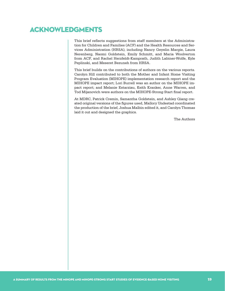# Acknowledgments

This brief reflects suggestions from staff members at the Administration for Children and Families (ACF) and the Health Resources and Services Administration (HRSA), including Nancy Geyelin Margie, Laura Nerenberg, Naomi Goldstein, Emily Schmitt, and Maria Woolverton from ACF, and Rachel Herzfeldt-Kamprath, Judith Labiner-Wolfe, Kyle Peplinski, and Meseret Bezuneh from HRSA.

This brief builds on the contributions of authors on the various reports. Carolyn Hill contributed to both the Mother and Infant Home Visiting Program Evaluation (MIHOPE) implementation research report and the MIHOPE impact report; Lori Burrell was an author on the MIHOPE impact report; and Melanie Estarziau, Keith Kranker, Anne Warren, and Tod Mijanovich were authors on the MIHOPE-Strong Start final report.

At MDRC, Patrick Cremin, Samantha Goldstein, and Ashley Qiang created original versions of the figures used, Mallory Undestad coordinated the production of the brief, Joshua Malbin edited it, and Carolyn Thomas laid it out and designed the graphics.

The Authors